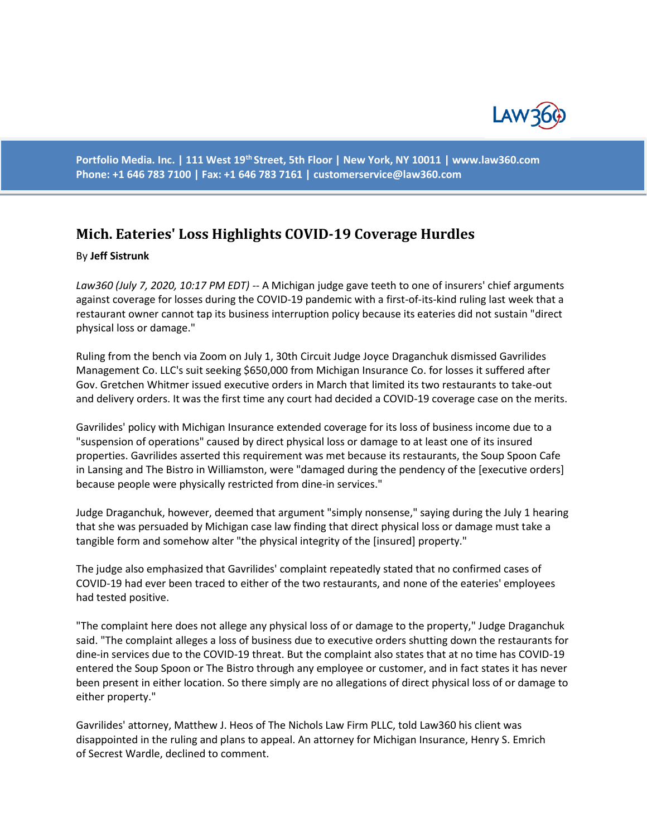

**Portfolio Media. Inc. | 111 West 19th Street, 5th Floor | New York, NY 10011 | www.law360.com Phone: +1 646 783 7100 | Fax: +1 646 783 7161 | customerservice@law360.com**

## **Mich. Eateries' Loss Highlights COVID-19 Coverage Hurdles**

## By **Jeff Sistrunk**

*Law360 (July 7, 2020, 10:17 PM EDT) --* A Michigan judge gave teeth to one of insurers' chief arguments against coverage for losses during the COVID-19 pandemic with a first-of-its-kind ruling last week that a restaurant owner cannot tap its business interruption policy because its eateries did not sustain "direct physical loss or damage."

Ruling from the bench via Zoom on July 1, 30th Circuit Judge Joyce Draganchuk dismissed Gavrilides Management Co. LLC's suit seeking \$650,000 from Michigan Insurance Co. for losses it suffered after Gov. Gretchen Whitmer issued executive orders in March that limited its two restaurants to take-out and delivery orders. It was the first time any court had decided a COVID-19 coverage case on the merits.

Gavrilides' policy with Michigan Insurance extended coverage for its loss of business income due to a "suspension of operations" caused by direct physical loss or damage to at least one of its insured properties. Gavrilides asserted this requirement was met because its restaurants, the Soup Spoon Cafe in Lansing and The Bistro in Williamston, were "damaged during the pendency of the [executive orders] because people were physically restricted from dine-in services."

Judge Draganchuk, however, deemed that argument "simply nonsense," saying during the July 1 hearing that she was persuaded by Michigan case law finding that direct physical loss or damage must take a tangible form and somehow alter "the physical integrity of the [insured] property."

The judge also emphasized that Gavrilides' complaint repeatedly stated that no confirmed cases of COVID-19 had ever been traced to either of the two restaurants, and none of the eateries' employees had tested positive.

"The complaint here does not allege any physical loss of or damage to the property," Judge Draganchuk said. "The complaint alleges a loss of business due to executive orders shutting down the restaurants for dine-in services due to the COVID-19 threat. But the complaint also states that at no time has COVID-19 entered the Soup Spoon or The Bistro through any employee or customer, and in fact states it has never been present in either location. So there simply are no allegations of direct physical loss of or damage to either property."

Gavrilides' attorney, Matthew J. Heos of The Nichols Law Firm PLLC, told Law360 his client was disappointed in the ruling and plans to appeal. An attorney for Michigan Insurance, Henry S. Emrich of Secrest Wardle, declined to comment.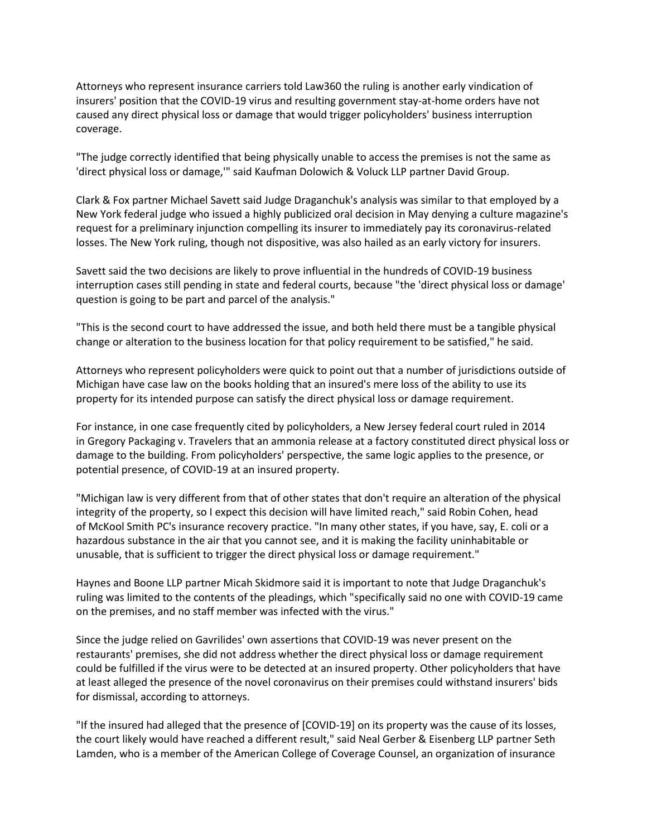Attorneys who represent insurance carriers told Law360 the ruling is another early vindication of insurers' position that the COVID-19 virus and resulting government stay-at-home orders have not caused any direct physical loss or damage that would trigger policyholders' business interruption coverage.

"The judge correctly identified that being physically unable to access the premises is not the same as 'direct physical loss or damage,'" said Kaufman Dolowich & Voluck LLP partner David Group.

Clark & Fox partner Michael Savett said Judge Draganchuk's analysis was similar to that employed by a New York federal judge who issued a highly publicized oral decision in May denying a culture magazine's request for a preliminary injunction compelling its insurer to immediately pay its coronavirus-related losses. The New York ruling, though not dispositive, was also hailed as an early victory for insurers.

Savett said the two decisions are likely to prove influential in the hundreds of COVID-19 business interruption cases still pending in state and federal courts, because "the 'direct physical loss or damage' question is going to be part and parcel of the analysis."

"This is the second court to have addressed the issue, and both held there must be a tangible physical change or alteration to the business location for that policy requirement to be satisfied," he said.

Attorneys who represent policyholders were quick to point out that a number of jurisdictions outside of Michigan have case law on the books holding that an insured's mere loss of the ability to use its property for its intended purpose can satisfy the direct physical loss or damage requirement.

For instance, in one case frequently cited by policyholders, a New Jersey federal court ruled in 2014 in Gregory Packaging v. Travelers that an ammonia release at a factory constituted direct physical loss or damage to the building. From policyholders' perspective, the same logic applies to the presence, or potential presence, of COVID-19 at an insured property.

"Michigan law is very different from that of other states that don't require an alteration of the physical integrity of the property, so I expect this decision will have limited reach," said Robin Cohen, head of McKool Smith PC's insurance recovery practice. "In many other states, if you have, say, E. coli or a hazardous substance in the air that you cannot see, and it is making the facility uninhabitable or unusable, that is sufficient to trigger the direct physical loss or damage requirement."

Haynes and Boone LLP partner Micah Skidmore said it is important to note that Judge Draganchuk's ruling was limited to the contents of the pleadings, which "specifically said no one with COVID-19 came on the premises, and no staff member was infected with the virus."

Since the judge relied on Gavrilides' own assertions that COVID-19 was never present on the restaurants' premises, she did not address whether the direct physical loss or damage requirement could be fulfilled if the virus were to be detected at an insured property. Other policyholders that have at least alleged the presence of the novel coronavirus on their premises could withstand insurers' bids for dismissal, according to attorneys.

"If the insured had alleged that the presence of [COVID-19] on its property was the cause of its losses, the court likely would have reached a different result," said Neal Gerber & Eisenberg LLP partner Seth Lamden, who is a member of the American College of Coverage Counsel, an organization of insurance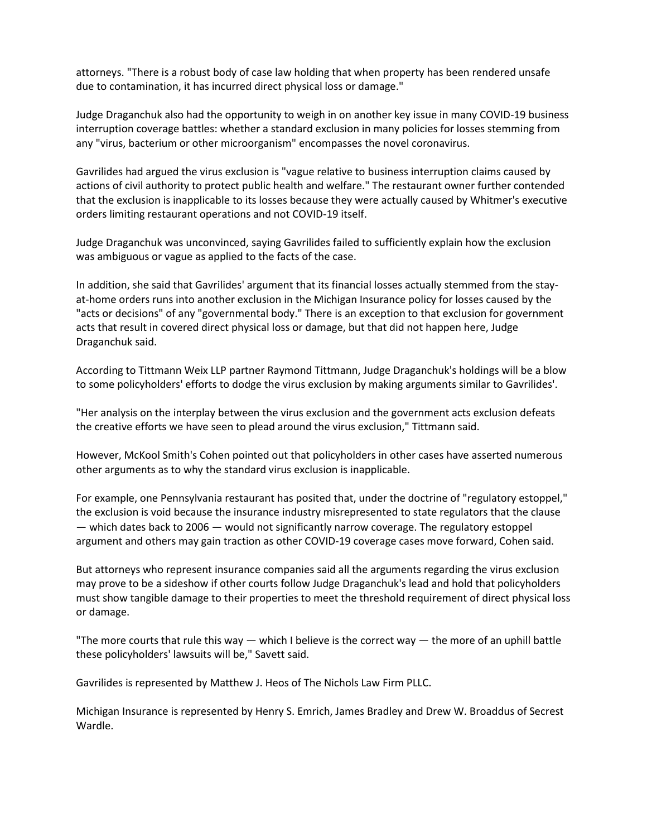attorneys. "There is a robust body of case law holding that when property has been rendered unsafe due to contamination, it has incurred direct physical loss or damage."

Judge Draganchuk also had the opportunity to weigh in on another key issue in many COVID-19 business interruption coverage battles: whether a standard exclusion in many policies for losses stemming from any "virus, bacterium or other microorganism" encompasses the novel coronavirus.

Gavrilides had argued the virus exclusion is "vague relative to business interruption claims caused by actions of civil authority to protect public health and welfare." The restaurant owner further contended that the exclusion is inapplicable to its losses because they were actually caused by Whitmer's executive orders limiting restaurant operations and not COVID-19 itself.

Judge Draganchuk was unconvinced, saying Gavrilides failed to sufficiently explain how the exclusion was ambiguous or vague as applied to the facts of the case.

In addition, she said that Gavrilides' argument that its financial losses actually stemmed from the stayat-home orders runs into another exclusion in the Michigan Insurance policy for losses caused by the "acts or decisions" of any "governmental body." There is an exception to that exclusion for government acts that result in covered direct physical loss or damage, but that did not happen here, Judge Draganchuk said.

According to Tittmann Weix LLP partner Raymond Tittmann, Judge Draganchuk's holdings will be a blow to some policyholders' efforts to dodge the virus exclusion by making arguments similar to Gavrilides'.

"Her analysis on the interplay between the virus exclusion and the government acts exclusion defeats the creative efforts we have seen to plead around the virus exclusion," Tittmann said.

However, McKool Smith's Cohen pointed out that policyholders in other cases have asserted numerous other arguments as to why the standard virus exclusion is inapplicable.

For example, one Pennsylvania restaurant has posited that, under the doctrine of "regulatory estoppel," the exclusion is void because the insurance industry misrepresented to state regulators that the clause — which dates back to 2006 — would not significantly narrow coverage. The regulatory estoppel argument and others may gain traction as other COVID-19 coverage cases move forward, Cohen said.

But attorneys who represent insurance companies said all the arguments regarding the virus exclusion may prove to be a sideshow if other courts follow Judge Draganchuk's lead and hold that policyholders must show tangible damage to their properties to meet the threshold requirement of direct physical loss or damage.

"The more courts that rule this way  $-$  which I believe is the correct way  $-$  the more of an uphill battle these policyholders' lawsuits will be," Savett said.

Gavrilides is represented by Matthew J. Heos of The Nichols Law Firm PLLC.

Michigan Insurance is represented by Henry S. Emrich, James Bradley and Drew W. Broaddus of Secrest Wardle.